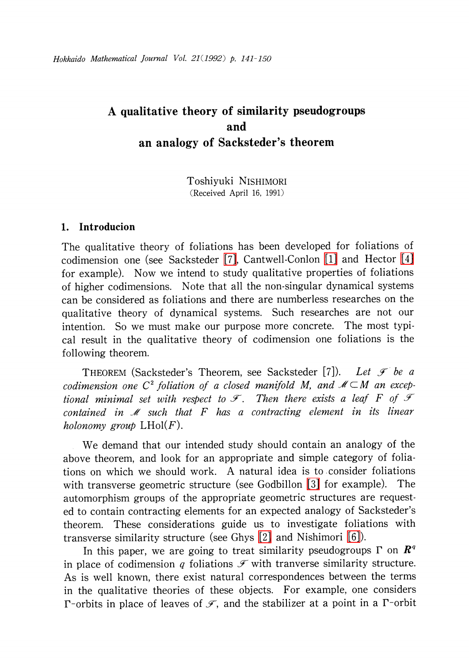# A qualitative theory of similarity pseudogroups and an analogy of Sacksteder's theorem

Toshiyuki NISHIMORI (Received April 16, 1991)

## 1. Introducion

The qualitative theory of foliations has been developed for foliations of codimension one (see Sacksteder [\[7\],](#page-9-0) Cantwell-Conlon [\[1\]](#page-9-1) and Hector [\[4\]](#page-9-2) for example). Now we intend to study qualitative properties of foliations of higher codimensions. Note that all the non-singular dynamical systems can be considered as foliations and there are numberless researches on the qualitative theory of dynamical systems. Such researches are not our intention. So we must make our purpose more concrete. The most typical result in the qualitative theory of codimension one foliations is the following theorem.

<span id="page-0-0"></span>THEOREM (Sacksteder's Theorem, see Sacksteder [7]). Let  $\mathcal{F}$  be a codimension one  $C^{2}$  foliation of a closed manifold M, and  $\mathcal{M}\subset M$  an exceptional minimal set with respect to  $\mathcal{F}$ . Then there exists a leaf F of  $\mathcal{F}$ contained in  $M$  such that  $F$  has a contracting element in its linear holonomy group  $L\text{Hol}(F)$ .

We demand that our intended study should contain an analogy of the above theorem, and look for an appropriate and simple category of foliations on which we should work. A natural idea is to consider foliations with transverse geometric structure (see Godbillon [\[3\]](#page-9-3) for example). The automorphism groups of the appropriate geometric structures are requested to contain contracting elements for an expected analogy of Sacksteder's theorem. These considerations guide us to investigate foliations with transverse similarity structure (see Ghys [\[2\]](#page-9-4) and Nishimori [\[6\]\)](#page-9-5).

In this paper, we are going to treat similarity pseudogroups  $\Gamma$  on  $\mathbb{R}^{q}$ in place of codimension q foliations  $\mathscr{F}$  with tranverse similarity structure. As is well known, there exist natural correspondences between the terms in the qualitative theories of these objects. For example, one considers  $\Gamma$ -orbits in place of leaves of  $\mathscr{F},$  and the stabilizer at a point in a  $\Gamma$ -orbit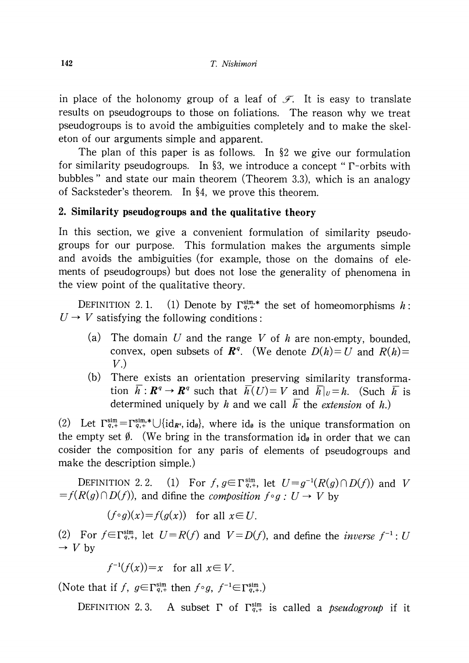in place of the holonomy group of a leaf of  $\mathscr{F}_{\cdot\cdot}$  It is easy to translate results on pseudogroups to those on foliations. The reason why we treat pseudogroups is to avoid the ambiguities completely and to make the skeleton of our arguments simple and apparent.

The plan of this paper is as follows. In  $\S 2$  we give our formulation for similarity pseudogroups. In §3, we introduce a concept " $\Gamma$ -orbits with bubbles " and state our main theorem (Theorem 3.3), which is an analogy of Sacksteder's theorem. In  $\S 4$ , we prove this theorem.

### 2. Similarity pseudogroups and the qualitative theory

In this section, we give a convenient formulation of similarity pseudogroups for our purpose. This formulation makes the arguments simple and avoids the ambiguities (for example, those on the domains of elements of pseudogroups) but does not lose the generality of phenomena in the view point of the qualitative theory.

DEFINITION 2.1. (1) Denote by  $\Gamma_{q,+}^{\text{sim},*}$  the set of homeomorphisms h:  $U \rightarrow V$  satisfying the following conditions:

- (a) The domain  $U$  and the range  $V$  of  $h$  are non-empty, bounded, convex, open subsets of  $\mathbf{R}^{q}$ . (We denote  $D(h)=U$  and  $R(h)=$  $V.$
- (b) There exists an orientation preserving similarity transformation  $\overline{h}: \mathbb{R}^{q} \rightarrow \mathbb{R}^{q}$  such that  $\overline{h}(U)=V$  and  $\overline{h}|_{U}=h$ . (Such  $\overline{h}$  is determined uniquely by h and we call  $\overline{h}$  the extension of h.)

(2) Let  $\Gamma_{q,+}^{\text{sim}}=\Gamma_{q,+}^{\text{sim},*}\cup\{\text{id}_{R^{q}}, \text{id}_{\theta}\}\$ , where id<sub>e</sub> is the unique transformation on the empty set  $\emptyset$ . (We bring in the transformation id<sub>ø</sub> in order that we can cosider the composition for any paris of elements of pseudogroups and make the description simple.)

DEFINITION 2.2. (1) For  $f$ ,  $g\in\Gamma_{q,+}^{\mathrm{sum}}$ , let  $U=g^{-1}(R(g)\cap D(f))$  and  $V$  $=f(R(g)\cap D(f))$ , and difine the *composition*  $f\circ g:U\to V$  by

$$
(f\circ g)(x) = f(g(x)) \text{ for all } x \in U.
$$

(2) For  $f\in\Gamma_{q,+}^{\text{sim}}$ , let  $U=R(f)$  and  $V=D(f)$ , and define the *inverse*  $f^{-1}$ : U  $\rightarrow$  V by

$$
f^{-1}(f(x))=x \quad \text{for all } x \in V.
$$

(Note that if  $f$ ,  $g\in\Gamma_{q,+}^{\text{sim}}$  then  $f\circ g$ ,  $f^{-1}\in\Gamma_{q,+}^{\text{sim}}$ .)

DEFINITION 2.3. A subset  $\Gamma$  of  $\Gamma_{q,+}^{sim}$  is called a *pseudogroup* if it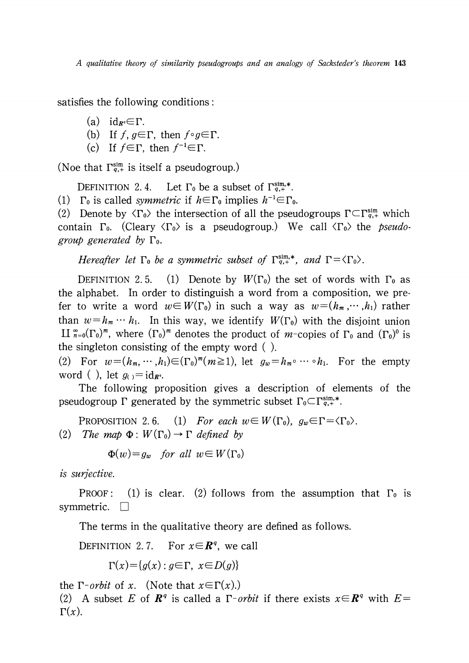satisfies the following conditions:

- (a) id<sub> $R^{q} \in \Gamma$ .</sub>
- (b) If  $f$ ,  $g\mathfrak{\in}\Gamma$ , then  $f\circ g\mathfrak{\in}\Gamma$ .
- (c) If  $f\in\Gamma$ , then  $f^{-1}\in\Gamma$ .

(Noe that  $\Gamma_{q,+}^{\text{sim}}$  is itself a pseudogroup.)

DEFINITION 2.4. Let  $\Gamma_0$  be a subset of  $\Gamma_{q,+}^{sim,*}$ .

(1)  $\Gamma_{0}$  is called symmetric if  $h \in \Gamma_{0}$  implies  $h^{-1}\in\Gamma_{0}$ .

(2) Denote by  $\langle\Gamma_{0}\rangle$  the intersection of all the pseudogroups  $\Gamma\subset\Gamma_{q,+}^{sim}$  which contain  $\Gamma_{0}$ . (Cleary  $\langle\Gamma_{0}\rangle$  is a pseudogroup.) We call  $\langle\Gamma_{0}\rangle$  the *pseudo*group generated by  $\Gamma_{0}$ .

Hereafter let  $\Gamma_{0}$  be a symmetric subset of  $\Gamma_{q,+}^{\text{sim},*}$ , and  $\Gamma=\langle\Gamma_{0}\rangle$ .

DEFINITION 2.5. (1) Denote by  $W(\Gamma_{0})$  the set of words with  $\Gamma_{0}$  as the alphabet. In order to distinguish a word from a composition, we prefer to write a word  $w\in W(\Gamma_{0})$  in such a way as  $w=(h_{m},\dots,h_{1})$  rather than  $w = h_{m} \cdots h_{1}$ . In this way, we identify  $W(\Gamma_{0})$  with the disjoint union  $\amalg$   $\widetilde{\pi}_{=0}(\Gamma_{0})^{\bar{m}}$ , where  $(\Gamma_{0})^{\bar{m}}$  denotes the product of  $m$ -copies of  $\Gamma_{0}$  and  $(\Gamma_{0})^{0}$  is the singleton consisting of the empty word ( ).

(2) For  $w=(h_{m}, \cdots, h_{1})\in(\Gamma_{0})^{m}(m\geq 1)$ , let  $g_{w}=h_{m}\circ\cdots\circ h_{1}$ . For the empty word ( ), let  $g_{()} = id_{R^{q}}$ .

The following proposition gives a description of elements of the pseudogroup  $\Gamma$  generated by the symmetric subset  $\Gamma_{0}\subset \Gamma_{q,+}^{\mathrm{sim},*}.$ 

PROPOSITION 2.6. (1) For each  $w\!\in\! W(\Gamma_{0})$ ,  $g_{w}\!\in\!\Gamma=\!\langle\Gamma_{0}\rangle$ . (2) The map  $\Phi:W(\Gamma_{0}) \to \Gamma$  defined by

 $\Phi(w)=q_{w}$  for all  $w\in W(\Gamma_{0})$ 

is surjective.

PROOF: (1) is clear. (2) follows from the assumption that  $\Gamma_{0}$  is symmetric.  $\square$ 

The terms in the qualitative theory are defined as follows.

DEFINITION 2.7. For  $x\in I\!\!R^{q}$ , we call

 $\Gamma(x)=\{q(x):q\in\Gamma, x\in D(q)\}$ 

the  $\Gamma$ -*orbit* of x. (Note that  $x \in \Gamma(x)$ .) (2) A subset E of  $\mathbb{R}^{q}$  is called a  $\Gamma$ -*orbit* if there exists  $x\in \mathbb{R}^{q}$  with  $E=$  $\Gamma(x)$ .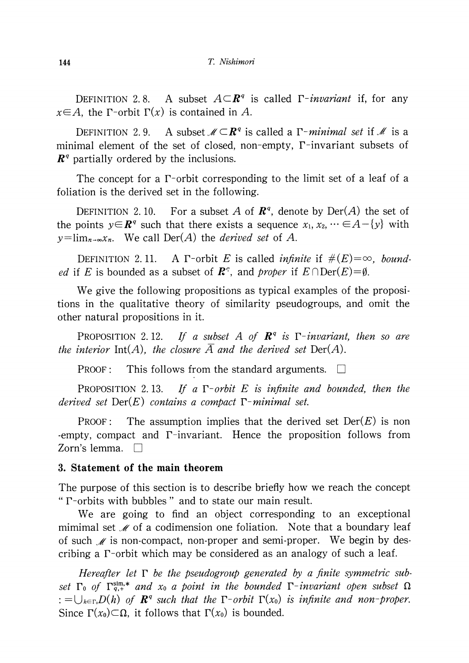DEFINITION 2.8. A subset  $A\subset \mathbb{R}^{q}$  is called  $\Gamma$ -*invariant* if, for any  $x\in A$ , the  $\Gamma$ -orbit  $\Gamma(x)$  is contained in A.

DEFINITION 2.9. A subset  $\mathscr{M}\subset \mathbf{R}^{q}$  is called a  $\Gamma$ *-minimal set* if  $\mathscr{M}$  is a minimal element of the set of closed, non-empty,  $\Gamma$ -invariant subsets of  $\mathbb{R}^{q}$  partially ordered by the inclusions.

The concept for a  $\Gamma$ -orbit corresponding to the limit set of a leaf of a foliation is the derived set in the following.

DEFINITION 2.10. For a subset  $A$  of  $\boldsymbol{R}^{q}$ , denote by  $\mathrm{Der}(A)$  the set of the points  $y\in \mathbb{R}^{q}$  such that there exists a sequence  $x_{1} , x_{2} , \cdots\in A-\{y\}$  with  $y = \lim_{n \to \infty} x_n$ . We call  $\text{Der}(A)$  the *derived set* of A.

DEFINITION 2.11. A  $\Gamma$ -orbit E is called *infinite* if  $\# (E)=\infty$ , bound*ed* if E is bounded as a subset of  $\mathbb{R}^q$ , and proper if  $E\cap \text{Der}(E)=\emptyset$ .

We give the following propositions as typical examples of the propositions in the qualitative theory of similarity pseudogroups, and omit the other natural propositions in it.

PROPOSITION 2.12. If a subset A of  $\mathbb{R}^{q}$  is  $\Gamma$ -invariant, then so are the interior Int(A), the closure  $\overline{A}$  and the derived set Der(A).

PROOF: This follows from the standard arguments.  $\square$ 

PROPOSITION 2.13. If a  $\Gamma$ -orbit E is infinite and bounded, then the derived set  $Der(E)$  contains a compact  $\Gamma$ -minimal set.

PROOF: The assumption implies that the derived set  $Der(E)$  is non -empty, compact and  $\Gamma$ -invariant. Hence the proposition follows from Zorn's lemma.  $\Box$ 

#### 3. Statement of the main theorem

The purpose of this section is to describe briefly how we reach the concept "  $\Gamma$ -orbits with bubbles " and to state our main result.

We are going to find an object corresponding to an exceptional mimimal set  $\mathcal{M}$  of a codimension one foliation. Note that a boundary leaf of such  $\mathcal{M}$  is non-compact, non-proper and semi-proper. We begin by describing a  $\Gamma$ -orbit which may be considered as an analogy of such a leaf.

Hereafter let  $\Gamma$  be the pseudogroup generated by a finite symmetric subset  $\Gamma_{0}$  of  $\Gamma_{q,+}^{\text{sim},*}$  and  $x_{0}$  a point in the bounded  $\Gamma$ -invariant open subset  $\Omega$ :  $=\bigcup_{h\in\Gamma_{0}}D(h)$  of  $\mathbb{R}^{q}$  such that the  $\Gamma$ -orbit  $\Gamma(x_{0})$  is infinite and non-proper. Since  $\Gamma(x_{0})\subset\Omega$ , it follows that  $\Gamma(x_{0})$  is bounded.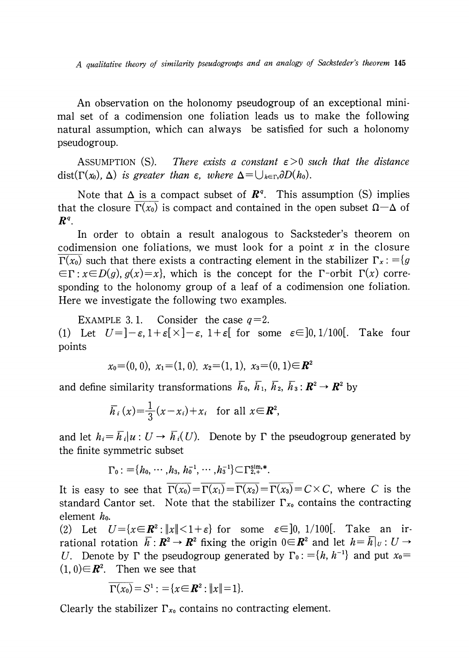A qualitative theory of similarity pseudogroups and an analogy of Sacksteder's theorem <sup>145</sup>

An observation on the holonomy pseudogroup of an exceptional minimal set of a codimension one foliation leads us to make the following natural assumption, which can always be satisfied for such a holonomy pseudogroup.

ASSUMPTION (S). There exists a constant  $\epsilon>0$  such that the distance dist( $\Gamma(x_{0}), \Delta$ ) is greater than  $\varepsilon$ , where  $\Delta=\bigcup_{h\in\Gamma_{0}}\partial D(h_{0}).$ 

Note that  $\Delta$  is a compact subset of  $\mathbf{R}^{q}$ . This assumption (S) implies that the closure  $\Gamma(x_{0})$  is compact and contained in the open subset  $\Omega-\Delta$  of  $\bm{R}^{\mathsf{q}}$  .

In order to obtain a result analogous to Sacksteder's theorem on codimension one foliations, we must look for a point  $x$  in the closure  $\Gamma(x_{0})$  such that there exists a contracting element in the stabilizer  $\Gamma_{x}$ : = $\{g$  $\in\Gamma: x\in D(g) , g(x)=x\}$ , which is the concept for the  $\Gamma$ -orbit  $\Gamma(x)$  corresponding to the holonomy group of a leaf of a codimension one foliation. Here we investigate the following two examples.

EXAMPLE 3.1. Consider the case  $q=2$ . (1) Let  $U = \begin{bmatrix} -\varepsilon, 1+\varepsilon \end{bmatrix} \times \begin{bmatrix} -\varepsilon, 1+\varepsilon \end{bmatrix}$  for some  $\varepsilon \in ]0, 1/100 [$ . Take four points

$$
x_0=(0, 0), x_1=(1, 0), x_2=(1, 1), x_3=(0, 1) \in \mathbb{R}^2
$$

and define similarity transformations  $\overline{h}_{0},\ \overline{h}_{1},\ \overline{h}_{2},\ \overline{h}_{3} : \mathbb{R}^{2} \rightarrow \mathbb{R}^{2}$  by

$$
\overline{h}_i(x) = \frac{1}{3}(x - x_i) + x_i \quad \text{for all } x \in \mathbb{R}^2,
$$

and let  $h_{i}=\overline{h}_{i}|u:U\rightarrow\overline{h}_{i}(U).$  Denote by  $\Gamma$  the pseudogroup generated by the finite symmetric subset

 $\Gamma_{0}$  :  $=\{h_{0}^{} ,\cdots,h_{3}^{},$   $h_{0}^{-1} ,\cdots,h_{3}^{-1}\}\subset\Gamma_{2,+}^{\mathrm{sim},*}$ .

It is easy to see that  $\Gamma(x_{0})=\Gamma(x_{1})=\Gamma(x_{2})=\Gamma(x_{3})=C\times C$ , where C is the standard Cantor set. Note that the stabilizer  $\Gamma_{x_{0}}$  contains the contracting element  $h_{0}$ .

(2) Let  $U=\{x\in \mathbb{R}^{2} : ||x||<1+\epsilon\}$  for some  $\epsilon\in]0, 1/100[$ . Take an irrational rotation  $\overline{h}: \mathbb{R}^{2} \rightarrow \mathbb{R}^{2}$  fixing the origin  $0 \in \mathbb{R}^{2}$  and let  $h=\overline{h}|_{U} : U \rightarrow$ U. Denote by  $\Gamma$  the pseudogroup generated by  $\Gamma_{0}$ : ={h, h<sup>-1}</sup> and put x<sub>0</sub>=  $(1, 0) \in \mathbb{R}^{2}$ . Then we see that

$$
\overline{\Gamma(x_0)}=S^1:={x\in R^2:||x||=1}.
$$

Clearly the stabilizer  $\Gamma_{x_{0}}$  contains no contracting element.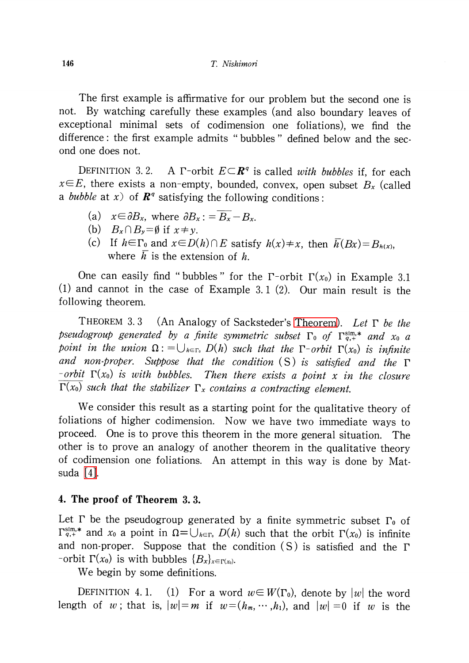The first example is affirmative for our problem but the second one is not. By watching carefully these examples (and also boundary leaves of exceptional minimal sets of codimension one foliations), we find the difference: the first example admits " bubbles " defined below and the second one does not.

DEFINITION 3.2. A  $\Gamma$ -orbit  $E\subset \mathbb{R}^{q}$  is called with bubbles if, for each  $x\in E$ , there exists a non-empty, bounded, convex, open subset  $B_{x}$  (called a *bubble* at x) of  $\mathbb{R}^{q}$  satisfying the following conditions:

(a) 
$$
x \in \partial B_x
$$
, where  $\partial B_x := \overline{B_x} - B_x$ .

- (b)  $B_{x}\cap B_{y}=\emptyset$  if  $x\neq y$ .
- (c) If  $h\in\Gamma_{0}$  and  $x\in D(h)\cap E$  satisfy  $h(x)\neq x$ , then  $\overline{h}(Bx)=B_{h(x)}$ , where  $\overline{h}$  is the extension of h.

One can easily find "bubbles" for the  $\Gamma$ -orbit  $\Gamma(x_{0})$  in Example 3.1 (1) and cannot in the case of Example 3. <sup>1</sup> (2). Our main result is the following theorem.

THEOREM 3.3 (An Analogy of Sacksteder's [Theorem\)](#page-0-0). Let  $\Gamma$  be the pseudogroup generated by a finite symmetric subset  $\Gamma_{0}$  of  $\Gamma_{q,+}^{\text{sim},*}$  and  $x_{0}$  a point in the union  $\Omega:=\bigcup_{h\in\Gamma_{0}}D(h)$  such that the  $\Gamma$ -orbit  $\Gamma(x_{0})$  is infinite and non-proper. Suppose that the condition  $(S)$  is satisfied and the  $\Gamma$ -orbit  $\Gamma(x_{0})$  is with bubbles. Then there exists a point x in the closure  $\Gamma(x_{0})$  such that the stabilizer  $\Gamma_{x}$  contains a contracting element.

We consider this result as a starting point for the qualitative theory of foliations of higher codimension. Now we have two immediate ways to proceed. One is to prove this theorem in the more general situation. The other is to prove an analogy of another theorem in the qualitative theory of codimension one foliations. An attempt in this way is done by Matsuda [\[4\].](#page-9-2)

#### 4. The proof of Theorem 3. 3.

Let  $\Gamma$  be the pseudogroup generated by a finite symmetric subset  $\Gamma_{0}$  of  $\Gamma_{q,+}^{\text{sim},*}$  and  $x_{0}$  a point in  $\Omega=\bigcup_{h\in\Gamma_{0}}D(h)$  such that the orbit  $\Gamma(x_{0})$  is infinite and non-proper. Suppose that the condition  $(S)$  is satisfied and the  $\Gamma$ -orbit  $\Gamma(x_{0})$  is with bubbles  $\{B_{x}\}_{x\in\Gamma(x_{0})}$ .

We begin by some definitions.

DEFINITION 4.1. (1) For a word  $w\!\in W(\Gamma_{0})$ , denote by  $|w|$  the word length of  $w$ ; that is,  $|w| = m$  if  $w = (h_{m}, \cdots, h_{1})$ , and  $|w| = 0$  if  $w$  is the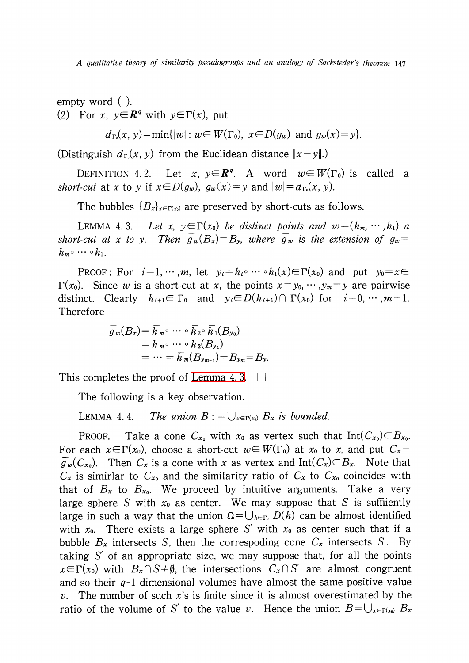A qualitative theory of similarity pseudogroups and an analogy of Sacksteder's theorem 147

empty word ( ). (2) For x,  $y \in \mathbb{R}^{q}$  with  $y \in \Gamma(x)$ , put

$$
d_{\Gamma_0}(x, y) = \min\{|w| : w \in W(\Gamma_0), \ x \in D(g_w) \text{ and } g_w(x) = y\}.
$$

(Distinguish  $d_{\Gamma_{0}}(x, y)$  from the Euclidean distance  $||x-y||$ .)

DEFINITION 4.2. Let x,  $y\in \mathbb{R}^{q}$ . A word  $w\in W(\Gamma_{0})$  is called a short-cut at x to y if  $x \in D(g_{w})$ ,  $g_{w}(x) = y$  and  $|w| = d_{\Gamma_{0}}(x, y)$ .

The bubbles  $\{B_{x}\}_{x\in\Gamma(x_{0})}$  are preserved by short-cuts as follows.

<span id="page-6-0"></span>LEMMA 4.3. Let x,  $y\in\Gamma(x_{0})$  be distinct points and  $w=(h_{m}, \cdots, h_{1})$  a short-cut at x to y. Then  $g_{w}(B_{x})=B_{y}$ , where  $g_{w}$  is the extension of  $g_{w}=$  $h_{m^{\circ}}\cdots$  o $h_{1}.$ 

PROOF: For  $i=1, \cdots, m$ , let  $y_{i}=h_{i}\circ\cdots\circ h_{1}(x)\in\Gamma(x_{0})$  and put  $y_{0}=x\in$  $\Gamma(x_{0})$ . Since w is a short-cut at x, the points  $x=y_{0}, \cdots, y_{m}=y$  are pairwise distinct. Clearly  $h_{i+1}\in\Gamma_{0}$  and  $y_{i}\in D(h_{i+1})\cap\Gamma(x_{0})$  for  $i=0, \cdots, m-1$ . Therefore

$$
\overline{g}_w(B_x) = \overline{h}_{m} \circ \cdots \circ \overline{h}_{2} \circ \overline{h}_{1}(B_{y_0})
$$
  
=  $\overline{h}_{m} \circ \cdots \circ \overline{h}_{2}(B_{y_1})$   
=  $\cdots = \overline{h}_{m}(B_{y_{m-1}}) = B_{y_m} = B_{y_n}$ .

This completes the proof of [Lemma](#page-6-0) 4.3.  $\Box$ 

The following is a key observation.

<span id="page-6-1"></span>LEMMA 4.4. The union  $B: = \bigcup_{x\in\Gamma(x_{0})}B_{x}$  is bounded.

PROOF. Take a cone  $C_{x_{0}}$  with  $x_{0}$  as vertex such that Int( $C_{x_{0}}\rangle \subset B_{x_{0}}.$ For each  $x{\in}\Gamma(x_{0})$ , choose a short-cut  $w{\in}W(\Gamma_{0})$  at  $x_{0}$  to  $x_{\cdot}$  and put  $C_{x}{=}$  $\overline{g}_{w}(C_{x_{0}})$ . Then  $C_{x}$  is a cone with x as vertex and Int( $C_{x}$ ) $\subset$ B<sub>x</sub>. Note that  $C_{\sigma}$  is simirlar to  $C_{x_0}$  and the similarity ratio of  $C_{x_0}$  to  $C_{x_0}$  coincides with that of  $B_x$  to  $B_{x_{0}}$ . We proceed by intuitive arguments. Take a very large sphere S with  $x_0$  as center. We may suppose that S is suffiiently large in such a way that the union  $\Omega=\bigcup_{h\in\Gamma_{0}}D(h)$  can be almost identified with  $x_{0}$ . There exists a large sphere S' with  $x_{0}$  as center such that if a bubble  $B_{\bf x}$  intersects S, then the correspoding cone  $C_{\bf x}$  intersects S'. By taking  $S'$  of an appropriate size, we may suppose that, for all the points  $x\in\Gamma(x_{0})$  with  $B_{x}\cap S\neq\emptyset$ , the intersections  $C_{x}\cap S'$  are almost congruent and so their  $q-1$  dimensional volumes have almost the same positive value v. The number of such x's is finite since it is almost overestimated by the ratio of the volume of S' to the value v. Hence the union  $B = \bigcup_{x\in\Gamma(x_{0})}B_{x}$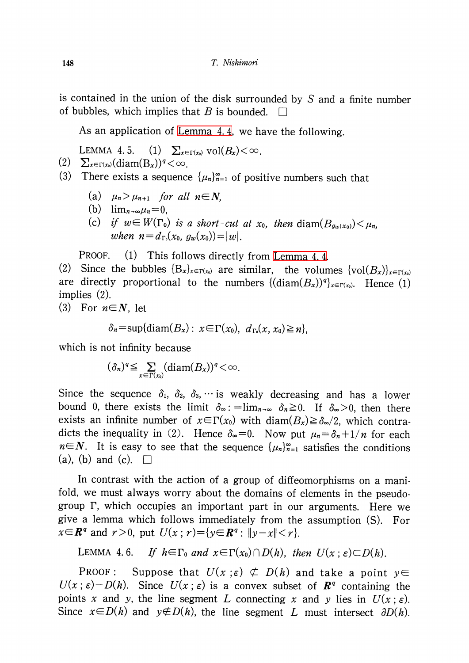is contained in the union of the disk surrounded by S and a finite number of bubbles, which implies that B is bounded.  $\square$ 

As an application of [Lemma](#page-6-1) 4. 4, we have the following.

LEMMA 4.5. (1)  $\sum_{x\in\Gamma(x_{0})}\text{vol}(B_{x})<\infty$ .

 $(2) \quad \sum_{x\in\Gamma(x_{0})}(\text{diam}(B_{x}))^{q}<\infty.$ 

- (3) There exists a sequence  $\{\mu_{n}\}_{n=1}^{\infty}$  of positive numbers such that
	- (a)  $\mu_{n}>\mu_{n+1}$  for all  $n\in N$ ,
	- (b)  $\lim_{n\rightarrow\infty}\mu_{n}=0,$
	- (c) if  $w\in W(\Gamma_{0})$  is a short-cut at  $x_{0}$ , then diam $(B_{g_w(x_0)})<\mu_{n}$ , when  $n = d_{\Gamma_{0}}(x_{0}, g_{w}(x_{0}))=|w|$ .

PROOF. (1) This follows directly from [Lemma](#page-6-1) 4.4.

(2) Since the bubbles  $\{B_{x}\}_{x\in\Gamma(x_{0})}$  are similar, the volumes  $\{vol(B_{x})\}_{x\in\Gamma(x_{0})}$ are directly proportional to the numbers  $\{(\text{diam}(B_{x}))^{q}\}_{x\in\Gamma(x_{0})}$ . Hence (1) implies (2).

(3) For 
$$
n \in \mathbb{N}
$$
, let

$$
\delta_n = \sup \{ \operatorname{diam}(B_x) : x \in \Gamma(x_0), d_{\Gamma_0}(x, x_0) \geq n \},
$$

which is not infinity because

$$
(\delta_n)^q \leq \sum_{x \in \Gamma(x_0)} (\text{diam}(B_x))^q < \infty.
$$

Since the sequence  $\delta_{1}$ ,  $\delta_{2}$ ,  $\delta_{3}$ ,  $\cdots$  is weakly decreasing and has a lower bound 0, there exists the limit  $\delta_{\infty}$ :  $=\lim_{n\rightarrow\infty}\delta_{n}\geq 0$ . If  $\delta_{\infty}>0$ , then there exists an infinite number of  $x\in\Gamma(x_{0})$  with diam $(B_{x})\geq\delta_{\infty}/2$ , which contradicts the inequality in (2). Hence  $\delta_{\infty}=0$ . Now put  $\mu_{n}=\delta_{n}+1/n$  for each  $n\in \mathbb{N}$ . It is easy to see that the sequence  $\{\mu_{n}\}_{n=1}^{\infty}$  satisfies the conditions (a), (b) and (c).  $\Box$ 

In contrast with the action of a group of diffeomorphisms on a manifold, we must always worry about the domains of elements in the pseud0 group  $\Gamma$ , which occupies an important part in our arguments. Here we give a lemma which follows immediately from the assumption (S). For  $x\in \mathbb{R}^{q}$  and  $r>0$ , put  $U(x: r)=\{y\in \mathbb{R}^{q} : ||y-x||< r\}$ .

<span id="page-7-0"></span>LEMMA 4.6. If  $h \in \Gamma_{0}$  and  $x \in \Gamma(x_{0})\cap D(h)$ , then  $U(x ; \varepsilon)\subset D(h)$ .

PROOF: Suppose that  $U(x;\varepsilon)\nsubseteq D(h)$  and take a point  $y\in$  $U(x;\epsilon)-D(h)$ . Since  $U(x;\epsilon)$  is a convex subset of  $\mathbb{R}^{q}$  containing the points x and y, the line segment L connecting x and y lies in  $U(x; \varepsilon)$ . Since  $x \in D(h)$  and  $y \notin D(h)$ , the line segment L must intersect  $\partial D(h)$ .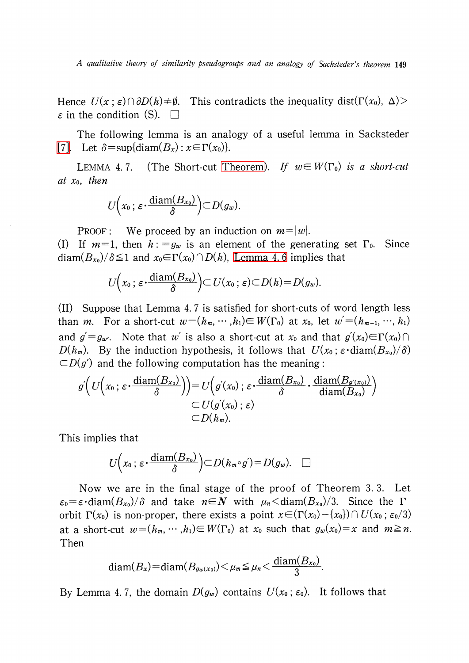A qualitative theory of similarity pseudogroups and an analogy of Sacksteder's theorem 149

Hence  $U(x;\varepsilon)\cap\partial D(h)\neq\emptyset$ . This contradicts the inequality dist( $\Gamma(x_{0}),$   $\Delta)$ )  $\varepsilon$  in the condition (S).  $\Box$ 

The following lemma is an analogy of a useful lemma in Sacksteder [\[7\].](#page-9-0) Let  $\delta=\sup\{\mathrm{diam}(B_{x}) : x\in\Gamma(x_{0})\}.$ 

LEMMA 4.7. (The Short-cut [Theorem\)](#page-0-0). If  $w\in W(\Gamma_{0})$  is a short-cut at  $x_0$ , then

$$
U(x_0\,;\,\varepsilon\,\cdot \frac{\mathrm{diam}(B_{x_0})}{\delta}\Big)\subset D(g_w).
$$

PROOF: We proceed by an induction on  $m=|w|$ .

(I) If  $m=1$ , then  $h:=g_{w}$  is an element of the generating set  $\Gamma_{0}$ . Since diam $(B_{x_0})/\delta\!\leq\! 1$  and  $x_{0}\!\!\in\!\!\Gamma(x_{0})\!\cap\!D(h)$ , [Lemma](#page-7-0) 4.6 implies that

$$
U\Big(x_0\,;\,\varepsilon\,\cdot\,\frac{\mathrm{diam}(B_{x_0})}{\delta}\Big)\subset U(x_0\,;\,\varepsilon)\subset D(h)=D(g_w).
$$

(II) Suppose that Lemma 4. 7 is satisfied for short-cuts of word length less than m. For a short-cut  $w=(h_{m}, \cdots, h_{1})\in W(\Gamma_{0})$  at  $x_{0}$ , let  $w'=(h_{m-1}, \cdots, h_{1})$ and  $g^{'}=g_{w^{\prime}}.$  Note that  $w^{'}$  is also a short-cut at  $x_{0}$  and that  $g^{'}(x_{0})\!\!\in\!\Gamma(x_{0})\cap\Omega$  $D(h_{m})$ . By the induction hypothesis, it follows that  $U(x_{0} ; \varepsilon \cdot \text{diam}(B_{x_{0}})/\delta)$  $\subset D(g')$  and the following computation has the meaning:

$$
g'\Big(U\Big(x_0;\,\varepsilon\cdot\frac{\operatorname{diam}(B_{x_0})}{\delta}\Big)\Big)=U\Big(g'(x_0);\,\varepsilon\cdot\frac{\operatorname{diam}(B_{x_0})}{\delta}\cdot\frac{\operatorname{diam}(B_{g'(x_0)})}{\operatorname{diam}(B_{x_0})}\Big)\subset U(g'(x_0);\,\varepsilon)\subset D(h_m).
$$

This implies that

$$
U(x_0; \varepsilon \cdot \frac{\text{diam}(B_{x_0})}{\delta}) \subset D(h_{m} \circ g') = D(g_w). \quad \Box
$$

Now we are in the final stage of the proof of Theorem 3. 3. Let  $\varepsilon_{0}=\varepsilon\cdot \text{diam}(B_{x_0})/\delta$  and take  $n\in \mathbb{N}$  with  $\mu_{n}<\text{diam}(B_{x_0})/3$ . Since the  $\Gamma$ orbit  $\Gamma(x_{0})$  is non-proper, there exists a point  $x\in(\Gamma(x_{0})-\{x_{0}\})\cap U(x_{0} ; \varepsilon_{0}/3)$ at a short-cut  $w\!=\!(h_{m}, \cdots ,h_{1})\!\!\in W(\Gamma_{0})$  at  $x_{0}$  such that  $g_{w}(x_{0})\!=\!x$  and  $m\!\geq\! n.$ Then

$$
\text{diam}(B_x) = \text{diam}(B_{g_w(x_0)}) < \mu_m \leq \mu_n < \frac{\text{diam}(B_{x_0})}{3}.
$$

By Lemma 4.7, the domain  $D(g_{w})$  contains  $U(x_{0} \,;\, \varepsilon_{0})$ . It follows that